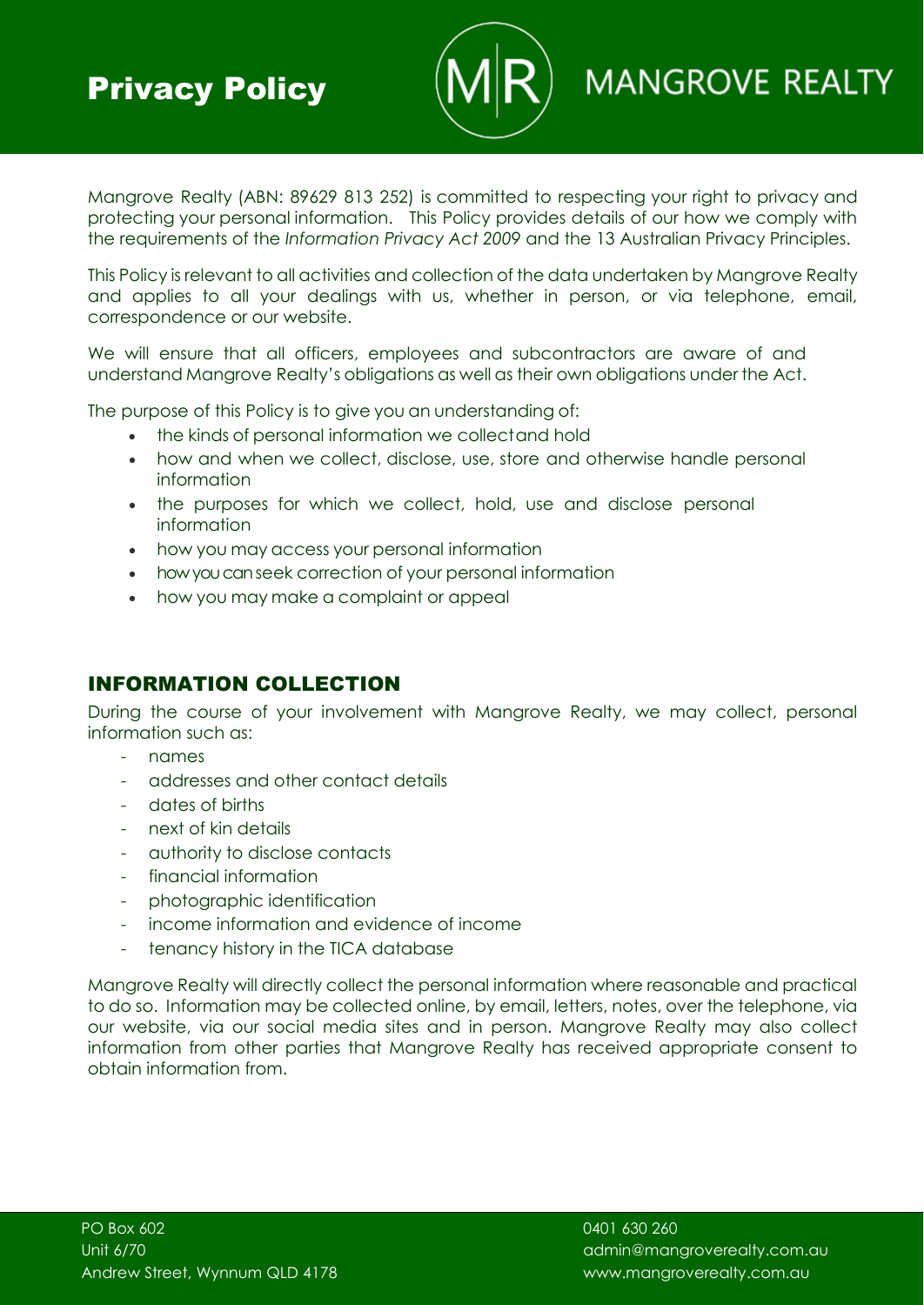

# **MANGROVE REALTY**

Mangrove Realty (ABN: 89629 813 252) is committed to respecting your right to privacy and protecting your personal information. This Policy provides details of our how we comply with the requirements of the *Information Privacy Act 2009* and the 13 Australian Privacy Principles.

This Policy is relevant to all activities and collection of the data undertaken by Mangrove Realty and applies to all your dealings with us, whether in person, or via telephone, email, correspondence or our website.

We will ensure that all officers, employees and subcontractors are aware of and understand Mangrove Realty's obligations as well as their own obligations under the Act.

The purpose of this Policy is to give you an understanding of:

- the kinds of personal information we collectand hold
- how and when we collect, disclose, use, store and otherwise handle personal information
- the purposes for which we collect, hold, use and disclose personal information
- how you may access your personal information
- how you can seek correction of your personal information
- how you may make a complaint or appeal

#### INFORMATION COLLECTION

During the course of your involvement with Mangrove Realty, we may collect, personal information such as:

- names
- addresses and other contact details
- dates of births
- next of kin details
- authority to disclose contacts
- financial information
- photographic identification
- income information and evidence of income
- tenancy history in the TICA database

Mangrove Realty will directly collect the personal information where reasonable and practical to do so. Information may be collected online, by email, letters, notes, over the telephone, via our website, via our social media sites and in person. Mangrove Realty may also collect information from other parties that Mangrove Realty has received appropriate consent to obtain information from.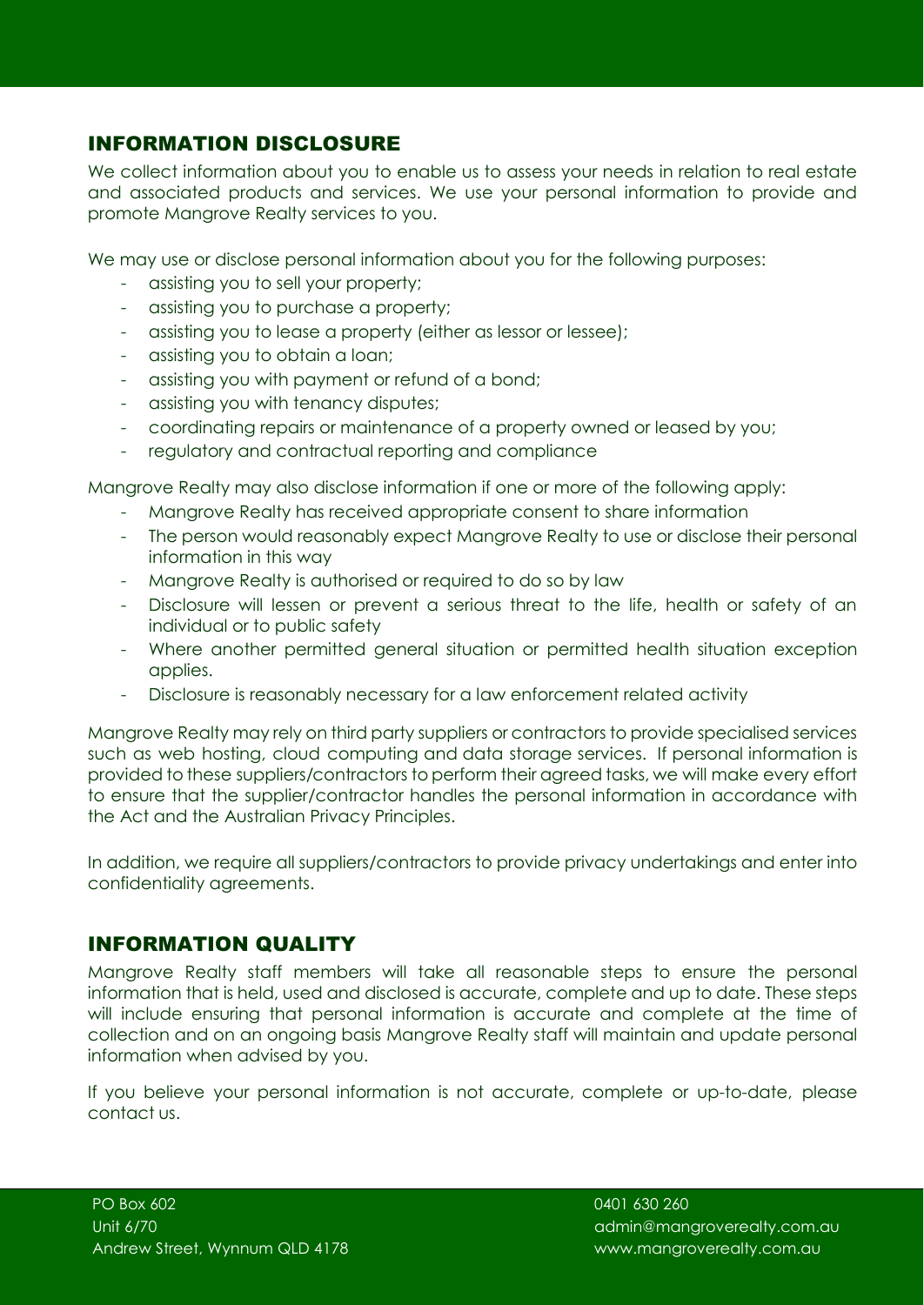## INFORMATION DISCLOSURE

We collect information about you to enable us to assess your needs in relation to real estate and associated products and services. We use your personal information to provide and promote Mangrove Realty services to you.

We may use or disclose personal information about you for the following purposes:

- assisting you to sell your property;
- assisting you to purchase a property;
- assisting you to lease a property (either as lessor or lessee);
- assisting you to obtain a loan;
- assisting you with payment or refund of a bond;
- assisting you with tenancy disputes;
- coordinating repairs or maintenance of a property owned or leased by you;
- regulatory and contractual reporting and compliance

Mangrove Realty may also disclose information if one or more of the following apply:

- Mangrove Realty has received appropriate consent to share information
- The person would reasonably expect Mangrove Realty to use or disclose their personal information in this way
- Mangrove Realty is authorised or required to do so by law
- Disclosure will lessen or prevent a serious threat to the life, health or safety of an individual or to public safety
- Where another permitted general situation or permitted health situation exception applies.
- Disclosure is reasonably necessary for a law enforcement related activity

Mangrove Realty may rely on third party suppliers or contractors to provide specialised services such as web hosting, cloud computing and data storage services. If personal information is provided to these suppliers/contractors to perform their agreed tasks, we will make every effort to ensure that the supplier/contractor handles the personal information in accordance with the Act and the Australian Privacy Principles.

In addition, we require all suppliers/contractors to provide privacy undertakings and enter into confidentiality agreements.

#### INFORMATION QUALITY

Mangrove Realty staff members will take all reasonable steps to ensure the personal information that is held, used and disclosed is accurate, complete and up to date. These steps will include ensuring that personal information is accurate and complete at the time of collection and on an ongoing basis Mangrove Realty staff will maintain and update personal information when advised by you.

If you believe your personal information is not accurate, complete or up-to-date, please contact us.